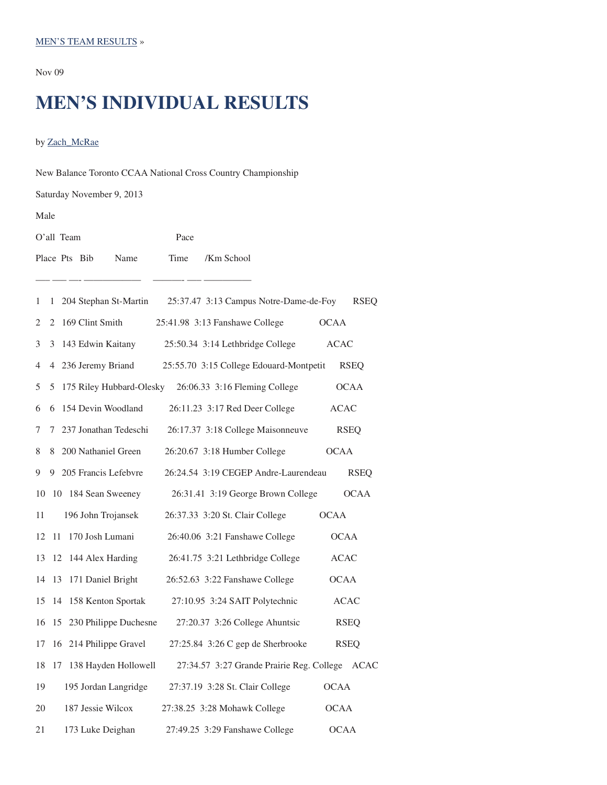#### MEN'S TEAM RESULTS »

Nov 09

# **MEN'S INDIVIDUAL RESULTS**

## by Zach\_McRae

| New Balance Toronto CCAA National Cross Country Championship |                                                                |             |  |  |
|--------------------------------------------------------------|----------------------------------------------------------------|-------------|--|--|
| Saturday November 9, 2013                                    |                                                                |             |  |  |
| Male                                                         |                                                                |             |  |  |
| O'all Team                                                   | Pace                                                           |             |  |  |
| Place Pts Bib<br>Name                                        | Time<br>/Km School                                             |             |  |  |
|                                                              |                                                                |             |  |  |
| 1                                                            | 1 204 Stephan St-Martin 25:37.47 3:13 Campus Notre-Dame-de-Foy | <b>RSEQ</b> |  |  |
| 2 169 Clint Smith<br>2                                       | 25:41.98 3:13 Fanshawe College                                 | <b>OCAA</b> |  |  |
| 3<br>3 143 Edwin Kaitany                                     | 25:50.34 3:14 Lethbridge College                               | <b>ACAC</b> |  |  |
| 4 236 Jeremy Briand<br>4                                     | 25:55.70 3:15 College Edouard-Montpetit                        | <b>RSEQ</b> |  |  |
| 5<br>5                                                       | 175 Riley Hubbard-Olesky 26:06.33 3:16 Fleming College         | <b>OCAA</b> |  |  |
| 154 Devin Woodland<br>6<br>6                                 | 26:11.23 3:17 Red Deer College                                 | <b>ACAC</b> |  |  |
| 7 237 Jonathan Tedeschi<br>7                                 | 26:17.37 3:18 College Maisonneuve                              | <b>RSEQ</b> |  |  |
| 8 200 Nathaniel Green<br>8                                   | 26:20.67 3:18 Humber College                                   | <b>OCAA</b> |  |  |
| 9 205 Francis Lefebvre<br>9.                                 | 26:24.54 3:19 CEGEP Andre-Laurendeau                           | <b>RSEQ</b> |  |  |
| 10 184 Sean Sweeney<br>10                                    | 26:31.41 3:19 George Brown College                             | <b>OCAA</b> |  |  |
| 196 John Trojansek<br>11                                     | 26:37.33 3:20 St. Clair College                                | <b>OCAA</b> |  |  |
| 170 Josh Lumani<br>12<br>11                                  | 26:40.06 3:21 Fanshawe College                                 | <b>OCAA</b> |  |  |
| 13<br>12 144 Alex Harding                                    | 26:41.75 3:21 Lethbridge College                               | <b>ACAC</b> |  |  |
| 13 171 Daniel Bright<br>14                                   | 26:52.63 3:22 Fanshawe College                                 | <b>OCAA</b> |  |  |
| 14 158 Kenton Sportak<br>15                                  | 27:10.95 3:24 SAIT Polytechnic                                 | <b>ACAC</b> |  |  |
| 15 230 Philippe Duchesne<br>16                               | 27:20.37 3:26 College Ahuntsic                                 | <b>RSEQ</b> |  |  |
| 16 214 Philippe Gravel<br>17                                 | 27:25.84 3:26 C gep de Sherbrooke                              | <b>RSEQ</b> |  |  |
| 138 Hayden Hollowell<br>18<br>17                             | 27:34.57 3:27 Grande Prairie Reg. College ACAC                 |             |  |  |
| 19<br>195 Jordan Langridge                                   | 27:37.19 3:28 St. Clair College                                | <b>OCAA</b> |  |  |
| 187 Jessie Wilcox<br>20                                      | 27:38.25 3:28 Mohawk College                                   | <b>OCAA</b> |  |  |
| 21<br>173 Luke Deighan                                       | 27:49.25 3:29 Fanshawe College                                 | <b>OCAA</b> |  |  |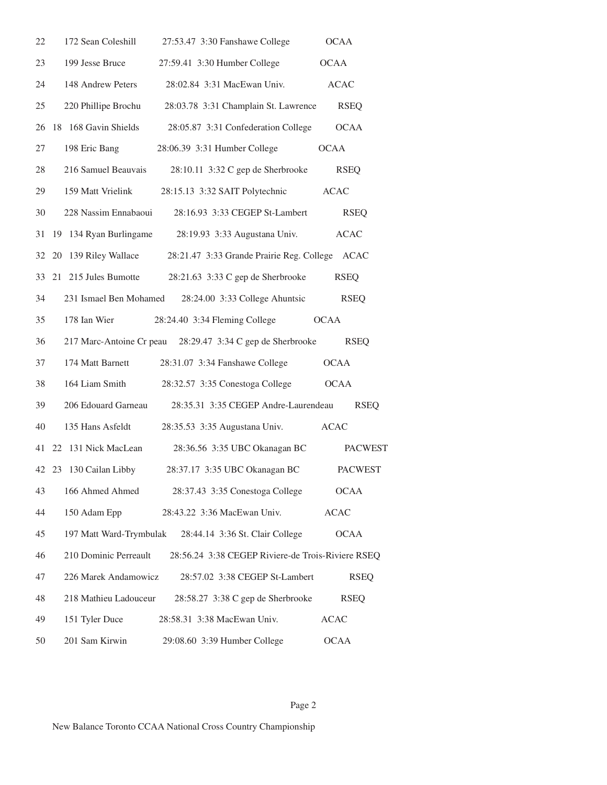| 22 | 172 Sean Coleshill      | 27:53.47 3:30 Fanshawe College                             | <b>OCAA</b>    |
|----|-------------------------|------------------------------------------------------------|----------------|
| 23 | 199 Jesse Bruce         | 27:59.41 3:30 Humber College                               | <b>OCAA</b>    |
| 24 | 148 Andrew Peters       | 28:02.84 3:31 MacEwan Univ.                                | <b>ACAC</b>    |
| 25 | 220 Phillipe Brochu     | 28:03.78 3:31 Champlain St. Lawrence                       | <b>RSEQ</b>    |
| 26 | 18 168 Gavin Shields    | 28:05.87 3:31 Confederation College                        | <b>OCAA</b>    |
| 27 | 198 Eric Bang           | 28:06.39 3:31 Humber College                               | <b>OCAA</b>    |
| 28 | 216 Samuel Beauvais     | 28:10.11 3:32 C gep de Sherbrooke                          | <b>RSEQ</b>    |
| 29 | 159 Matt Vrielink       | 28:15.13 3:32 SAIT Polytechnic                             | <b>ACAC</b>    |
| 30 | 228 Nassim Ennabaoui    | 28:16.93 3:33 CEGEP St-Lambert                             | <b>RSEQ</b>    |
| 31 | 19 134 Ryan Burlingame  | 28:19.93 3:33 Augustana Univ.                              | <b>ACAC</b>    |
| 32 | 139 Riley Wallace<br>20 | 28:21.47 3:33 Grande Prairie Reg. College ACAC             |                |
| 33 | 21 215 Jules Bumotte    | 28:21.63 3:33 C gep de Sherbrooke                          | <b>RSEQ</b>    |
| 34 | 231 Ismael Ben Mohamed  | 28:24.00 3:33 College Ahuntsic                             | <b>RSEQ</b>    |
| 35 | 178 Ian Wier            | 28:24.40 3:34 Fleming College                              | <b>OCAA</b>    |
| 36 |                         | 217 Marc-Antoine Cr peau 28:29.47 3:34 C gep de Sherbrooke | <b>RSEQ</b>    |
| 37 | 174 Matt Barnett        | 28:31.07 3:34 Fanshawe College                             | <b>OCAA</b>    |
| 38 | 164 Liam Smith          | 28:32.57 3:35 Conestoga College                            | <b>OCAA</b>    |
| 39 | 206 Edouard Garneau     | 28:35.31 3:35 CEGEP Andre-Laurendeau                       | <b>RSEQ</b>    |
| 40 | 135 Hans Asfeldt        | 28:35.53 3:35 Augustana Univ.                              | <b>ACAC</b>    |
| 41 | 131 Nick MacLean<br>22  | 28:36.56 3:35 UBC Okanagan BC                              | <b>PACWEST</b> |
|    | 42 23 130 Cailan Libby  | 28:37.17 3:35 UBC Okanagan BC                              | <b>PACWEST</b> |
| 43 | 166 Ahmed Ahmed         | 28:37.43 3:35 Conestoga College                            | <b>OCAA</b>    |
| 44 | 150 Adam Epp            | 28:43.22 3:36 MacEwan Univ.                                | <b>ACAC</b>    |
| 45 | 197 Matt Ward-Trymbulak | 28:44.14 3:36 St. Clair College                            | <b>OCAA</b>    |
| 46 | 210 Dominic Perreault   | 28:56.24 3:38 CEGEP Riviere-de Trois-Riviere RSEQ          |                |
| 47 | 226 Marek Andamowicz    | 28:57.02 3:38 CEGEP St-Lambert                             | <b>RSEQ</b>    |
| 48 | 218 Mathieu Ladouceur   | 28:58.27 3:38 C gep de Sherbrooke                          | <b>RSEQ</b>    |
| 49 | 151 Tyler Duce          | 28:58.31 3:38 MacEwan Univ.                                | <b>ACAC</b>    |
| 50 | 201 Sam Kirwin          | 29:08.60 3:39 Humber College                               | <b>OCAA</b>    |

New Balance Toronto CCAA National Cross Country Championship

# Page 2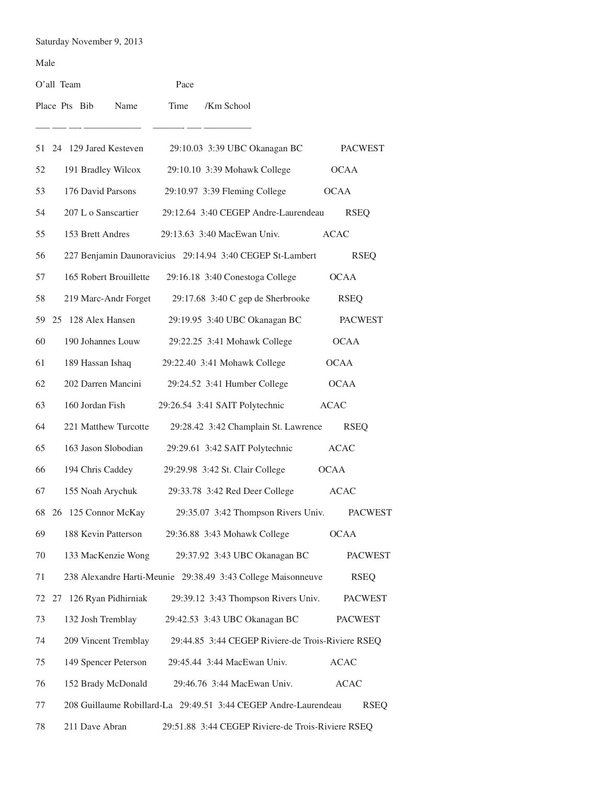Saturday November 9, 2013

#### Male

|    | O'all Team    |                 |                          | Pace |                                                                 |                |
|----|---------------|-----------------|--------------------------|------|-----------------------------------------------------------------|----------------|
|    | Place Pts Bib |                 | Name                     | Time | /Km School                                                      |                |
|    |               |                 | 51 24 129 Jared Kesteven |      | 29:10.03 3:39 UBC Okanagan BC                                   | <b>PACWEST</b> |
| 52 |               |                 | 191 Bradley Wilcox       |      | 29:10.10 3:39 Mohawk College                                    | <b>OCAA</b>    |
| 53 |               |                 | 176 David Parsons        |      | 29:10.97 3:39 Fleming College                                   | <b>OCAA</b>    |
| 54 |               |                 | 207 L o Sanscartier      |      | 29:12.64 3:40 CEGEP Andre-Laurendeau                            | <b>RSEQ</b>    |
| 55 |               |                 | 153 Brett Andres         |      | 29:13.63 3:40 MacEwan Univ.                                     | ACAC           |
| 56 |               |                 |                          |      | 227 Benjamin Daunoravicius 29:14.94 3:40 CEGEP St-Lambert       | <b>RSEQ</b>    |
| 57 |               |                 | 165 Robert Brouillette   |      | 29:16.18 3:40 Conestoga College                                 | <b>OCAA</b>    |
| 58 |               |                 |                          |      | 219 Marc-Andr Forget 29:17.68 3:40 C gep de Sherbrooke          | <b>RSEQ</b>    |
|    |               |                 | 59 25 128 Alex Hansen    |      | 29:19.95 3:40 UBC Okanagan BC                                   | <b>PACWEST</b> |
| 60 |               |                 | 190 Johannes Louw        |      | 29:22.25 3:41 Mohawk College                                    | <b>OCAA</b>    |
| 61 |               |                 | 189 Hassan Ishaq         |      | 29:22.40 3:41 Mohawk College                                    | <b>OCAA</b>    |
| 62 |               |                 |                          |      | 202 Darren Mancini 29:24.52 3:41 Humber College                 | <b>OCAA</b>    |
| 63 |               | 160 Jordan Fish |                          |      | 29:26.54 3:41 SAIT Polytechnic                                  | <b>ACAC</b>    |
| 64 |               |                 | 221 Matthew Turcotte     |      | 29:28.42 3:42 Champlain St. Lawrence                            | <b>RSEQ</b>    |
| 65 |               |                 |                          |      | 163 Jason Slobodian 29:29.61 3:42 SAIT Polytechnic              | <b>ACAC</b>    |
| 66 |               |                 | 194 Chris Caddey         |      | 29:29.98 3:42 St. Clair College                                 | <b>OCAA</b>    |
| 67 |               |                 | 155 Noah Arychuk         |      | 29:33.78 3:42 Red Deer College                                  | <b>ACAC</b>    |
|    |               |                 | 68 26 125 Connor McKay   |      | 29:35.07 3:42 Thompson Rivers Univ.                             | <b>PACWEST</b> |
| 69 |               |                 | 188 Kevin Patterson      |      | 29:36.88 3:43 Mohawk College                                    | <b>OCAA</b>    |
| 70 |               |                 | 133 MacKenzie Wong       |      | 29:37.92 3:43 UBC Okanagan BC                                   | <b>PACWEST</b> |
| 71 |               |                 |                          |      | 238 Alexandre Harti-Meunie 29:38.49 3:43 College Maisonneuve    | <b>RSEQ</b>    |
| 72 |               |                 | 27 126 Ryan Pidhirniak   |      | 29:39.12 3:43 Thompson Rivers Univ.                             | <b>PACWEST</b> |
| 73 |               |                 | 132 Josh Tremblay        |      | 29:42.53 3:43 UBC Okanagan BC                                   | <b>PACWEST</b> |
| 74 |               |                 | 209 Vincent Tremblay     |      | 29:44.85 3:44 CEGEP Riviere-de Trois-Riviere RSEQ               |                |
| 75 |               |                 | 149 Spencer Peterson     |      | 29:45.44 3:44 MacEwan Univ.                                     | <b>ACAC</b>    |
| 76 |               |                 | 152 Brady McDonald       |      | 29:46.76 3:44 MacEwan Univ.                                     | <b>ACAC</b>    |
| 77 |               |                 |                          |      | 208 Guillaume Robillard-La 29:49.51 3:44 CEGEP Andre-Laurendeau | <b>RSEQ</b>    |
| 78 |               | 211 Dave Abran  |                          |      | 29:51.88 3:44 CEGEP Riviere-de Trois-Riviere RSEQ               |                |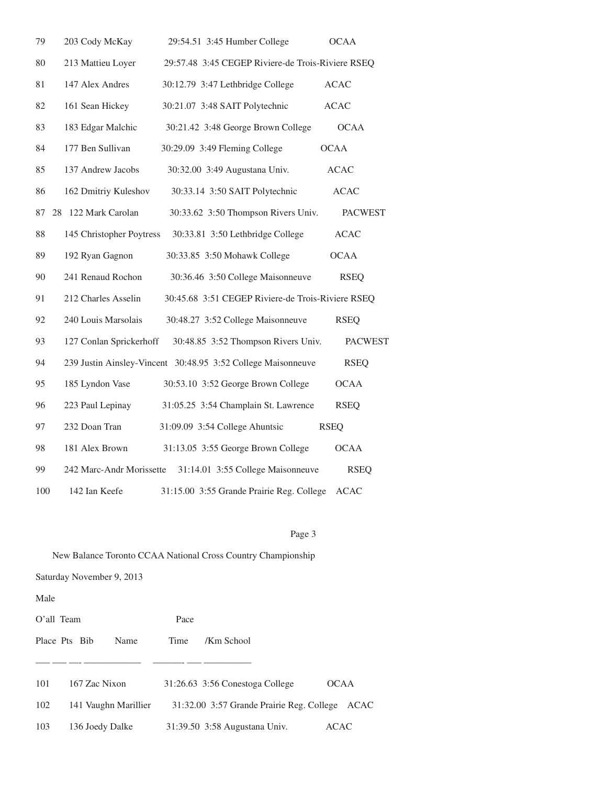| 79  | 203 Cody McKay           | 29:54.51 3:45 Humber College                                 | <b>OCAA</b>    |
|-----|--------------------------|--------------------------------------------------------------|----------------|
| 80  | 213 Mattieu Loyer        | 29:57.48 3:45 CEGEP Riviere-de Trois-Riviere RSEQ            |                |
| 81  | 147 Alex Andres          | 30:12.79 3:47 Lethbridge College                             | <b>ACAC</b>    |
| 82  | 161 Sean Hickey          | 30:21.07 3:48 SAIT Polytechnic                               | <b>ACAC</b>    |
| 83  | 183 Edgar Malchic        | 30:21.42 3:48 George Brown College                           | <b>OCAA</b>    |
| 84  | 177 Ben Sullivan         | 30:29.09 3:49 Fleming College                                | <b>OCAA</b>    |
| 85  | 137 Andrew Jacobs        | 30:32.00 3:49 Augustana Univ.                                | <b>ACAC</b>    |
| 86  | 162 Dmitriy Kuleshov     | 30:33.14 3:50 SAIT Polytechnic                               | <b>ACAC</b>    |
| 87  | 28 122 Mark Carolan      | 30:33.62 3:50 Thompson Rivers Univ.                          | <b>PACWEST</b> |
| 88  | 145 Christopher Poytress | 30:33.81 3:50 Lethbridge College                             | <b>ACAC</b>    |
| 89  | 192 Ryan Gagnon          | 30:33.85 3:50 Mohawk College                                 | <b>OCAA</b>    |
| 90  | 241 Renaud Rochon        | 30:36.46 3:50 College Maisonneuve                            | <b>RSEQ</b>    |
| 91  | 212 Charles Asselin      | 30:45.68 3:51 CEGEP Riviere-de Trois-Riviere RSEQ            |                |
| 92  | 240 Louis Marsolais      | 30:48.27 3:52 College Maisonneuve                            | <b>RSEO</b>    |
| 93  | 127 Conlan Sprickerhoff  | 30:48.85 3:52 Thompson Rivers Univ.                          | <b>PACWEST</b> |
| 94  |                          | 239 Justin Ainsley-Vincent 30:48.95 3:52 College Maisonneuve | <b>RSEQ</b>    |
| 95  | 185 Lyndon Vase          | 30:53.10 3:52 George Brown College                           | <b>OCAA</b>    |
| 96  | 223 Paul Lepinay         | 31:05.25 3:54 Champlain St. Lawrence                         | <b>RSEQ</b>    |
| 97  | 232 Doan Tran            | 31:09.09 3:54 College Ahuntsic                               | <b>RSEO</b>    |
| 98  | 181 Alex Brown           | 31:13.05 3:55 George Brown College                           | <b>OCAA</b>    |
| 99  | 242 Marc-Andr Morissette | 31:14.01 3:55 College Maisonneuve                            | <b>RSEO</b>    |
| 100 | 142 Ian Keefe            | 31:15.00 3:55 Grande Prairie Reg. College                    | <b>ACAC</b>    |

# Page 3

New Balance Toronto CCAA National Cross Country Championship

Saturday November 9, 2013

Male

| O'all Team |                       | Pace |                                           |             |
|------------|-----------------------|------|-------------------------------------------|-------------|
|            | Place Pts Bib<br>Name | Time | /Km School                                |             |
|            |                       |      |                                           |             |
| 101        | 167 Zac Nixon         |      | 31:26.63 3:56 Conestoga College           | <b>OCAA</b> |
| 102        | 141 Vaughn Marillier  |      | 31:32.00 3:57 Grande Prairie Reg. College | ACAC        |
| 103        | 136 Joedy Dalke       |      | 31:39.50 3:58 Augustana Univ.             | ACAC        |